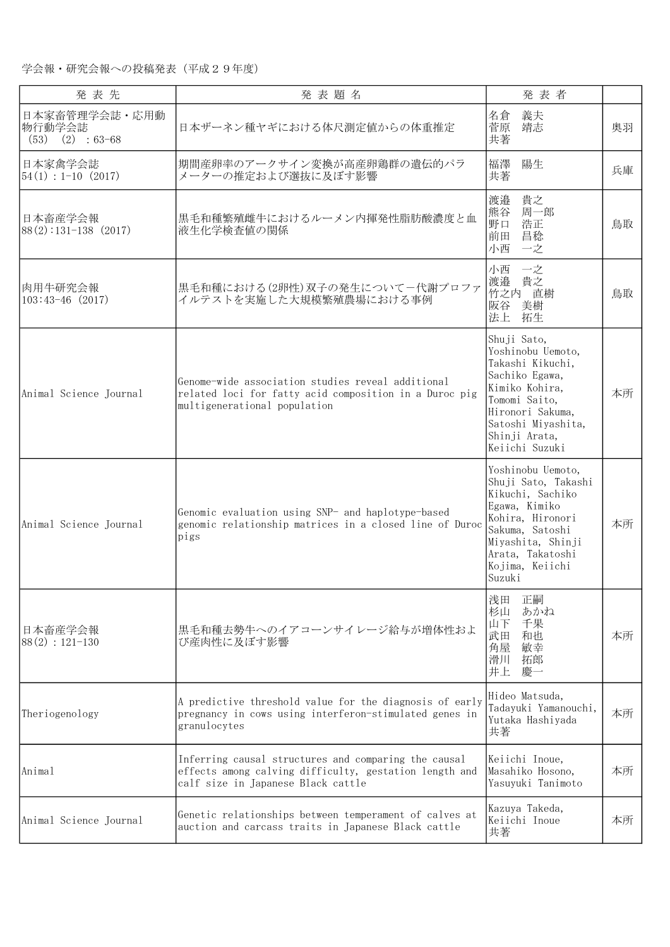| 発表先                                                          | 発表題名                                                                                                                                                 | 発表者                                                                                                                                                                                        |    |
|--------------------------------------------------------------|------------------------------------------------------------------------------------------------------------------------------------------------------|--------------------------------------------------------------------------------------------------------------------------------------------------------------------------------------------|----|
| 日本家畜管理学会誌・応用動<br>物行動学会誌<br>(53)<br>$(2) : 63-68$             | 日本ザーネン種ヤギにおける体尺測定値からの体重推定                                                                                                                            | 名倉<br>義夫<br>菅原<br>靖志<br>共著                                                                                                                                                                 | 奥羽 |
| 日本家禽学会誌<br>$\vert 54(1) : 1 \text{--} 10 \vert (2017) \vert$ | 期間産卵率のアークサイン変換が高産卵鶏群の遺伝的パラ<br>メーターの推定および選抜に及ぼす影響                                                                                                     | 陽生<br>福澤<br>共著                                                                                                                                                                             | 兵庫 |
| 日本畜産学会報<br>$88(2):131-138(2017)$                             | 黒毛和種繁殖雌牛におけるルーメン内揮発性脂肪酸濃度と血<br> 液生化学検査値の関係                                                                                                           | 貴之<br>渡邉<br>熊谷<br>周一郎<br>浩正<br>野口<br>昌稔<br>前田<br>小西<br>一之                                                                                                                                  | 鳥取 |
| 肉用牛研究会報<br>$103:43-46$ (2017)                                | 黒毛和種における(2卵性)双子の発生について一代謝プロファ<br>イルテストを実施した大規模繁殖農場における事例                                                                                             | 小西<br>一之<br>渡邉<br>貴之<br>竹之内 直樹<br>阪谷<br>美樹<br>法上<br>拓生                                                                                                                                     | 鳥取 |
| Animal Science Journal                                       | Genome-wide association studies reveal additional<br>related loci for fatty acid composition in a Duroc pig<br>multigenerational population          | Shuji Sato,<br>Yoshinobu Uemoto,<br>Takashi Kikuchi,<br>Sachiko Egawa,<br>Kimiko Kohira,<br>Tomomi Saito,<br>Hironori Sakuma,<br>Satoshi Miyashita,<br>Shinji Arata,<br>Keiichi Suzuki     | 本所 |
| Animal Science Journal                                       | Genomic evaluation using SNP- and haplotype-based<br>genomic relationship matrices in a closed line of Duroc<br>pigs                                 | Yoshinobu Uemoto,<br>Shuji Sato, Takashi<br>Kikuchi, Sachiko<br>Egawa, Kimiko<br>Kohira, Hironori<br>Sakuma, Satoshi<br>Miyashita, Shinji<br>Arata, Takatoshi<br>Kojima, Keiichi<br>Suzuki | 本所 |
| 日本畜産学会報<br>$88(2): 121-130$                                  | 黒毛和種去勢牛へのイアコーンサイレージ給与が増体性およ<br>び産肉性に及ぼす影響                                                                                                            | 浅田<br>正嗣<br>杉山<br>あかね<br>山下<br>千果<br>武田<br>和也<br>角屋<br>敏幸<br>滑川<br>拓郎<br>井上<br>慶一                                                                                                          | 本所 |
| Theriogenology                                               | A predictive threshold value for the diagnosis of early<br>pregnancy in cows using interferon-stimulated genes in<br>granulocytes                    | Hideo Matsuda,<br>Tadayuki Yamanouchi,<br>Yutaka Hashiyada<br>共著                                                                                                                           | 本所 |
| Animal                                                       | Inferring causal structures and comparing the causal<br>effects among calving difficulty, gestation length and<br>calf size in Japanese Black cattle | Keiichi Inoue,<br>Masahiko Hosono,<br>Yasuyuki Tanimoto                                                                                                                                    | 本所 |
| Animal Science Journal                                       | Genetic relationships between temperament of calves at<br>auction and carcass traits in Japanese Black cattle                                        | Kazuya Takeda,<br>Keiichi Inoue<br>共著                                                                                                                                                      | 本所 |